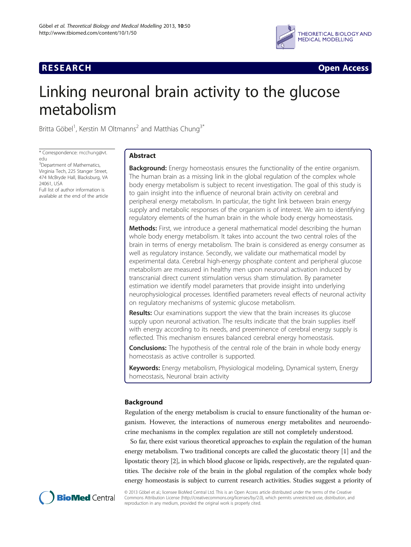# **RESEARCH CHINESE ARCH CHINESE ARCH CHINESE ARCH <b>CHINESE ARCH**



# Linking neuronal brain activity to the glucose metabolism

Britta Göbel<sup>1</sup>, Kerstin M Oltmanns<sup>2</sup> and Matthias Chung<sup>3\*</sup>

\* Correspondence: [mcchung@vt.](mailto:mcchung@vt.edu) [edu](mailto:mcchung@vt.edu)

<sup>3</sup>Department of Mathematics, Virginia Tech, 225 Stanger Street, 474 McBryde Hall, Blacksburg, VA 24061, USA Full list of author information is available at the end of the article

# Abstract

**Background:** Energy homeostasis ensures the functionality of the entire organism. The human brain as a missing link in the global regulation of the complex whole body energy metabolism is subject to recent investigation. The goal of this study is to gain insight into the influence of neuronal brain activity on cerebral and peripheral energy metabolism. In particular, the tight link between brain energy supply and metabolic responses of the organism is of interest. We aim to identifying regulatory elements of the human brain in the whole body energy homeostasis.

Methods: First, we introduce a general mathematical model describing the human whole body energy metabolism. It takes into account the two central roles of the brain in terms of energy metabolism. The brain is considered as energy consumer as well as regulatory instance. Secondly, we validate our mathematical model by experimental data. Cerebral high-energy phosphate content and peripheral glucose metabolism are measured in healthy men upon neuronal activation induced by transcranial direct current stimulation versus sham stimulation. By parameter estimation we identify model parameters that provide insight into underlying neurophysiological processes. Identified parameters reveal effects of neuronal activity on regulatory mechanisms of systemic glucose metabolism.

**Results:** Our examinations support the view that the brain increases its glucose supply upon neuronal activation. The results indicate that the brain supplies itself with energy according to its needs, and preeminence of cerebral energy supply is reflected. This mechanism ensures balanced cerebral energy homeostasis.

**Conclusions:** The hypothesis of the central role of the brain in whole body energy homeostasis as active controller is supported.

Keywords: Energy metabolism, Physiological modeling, Dynamical system, Energy homeostasis, Neuronal brain activity

# Background

Regulation of the energy metabolism is crucial to ensure functionality of the human organism. However, the interactions of numerous energy metabolites and neuroendocrine mechanisms in the complex regulation are still not completely understood.

So far, there exist various theoretical approaches to explain the regulation of the human energy metabolism. Two traditional concepts are called the glucostatic theory [[1](#page-17-0)] and the lipostatic theory [\[2](#page-17-0)], in which blood glucose or lipids, respectively, are the regulated quantities. The decisive role of the brain in the global regulation of the complex whole body energy homeostasis is subject to current research activities. Studies suggest a priority of



© 2013 Göbel et al.; licensee BioMed Central Ltd. This is an Open Access article distributed under the terms of the Creative Commons Attribution License [\(http://creativecommons.org/licenses/by/2.0\)](http://creativecommons.org/licenses/by/2.0), which permits unrestricted use, distribution, and reproduction in any medium, provided the original work is properly cited.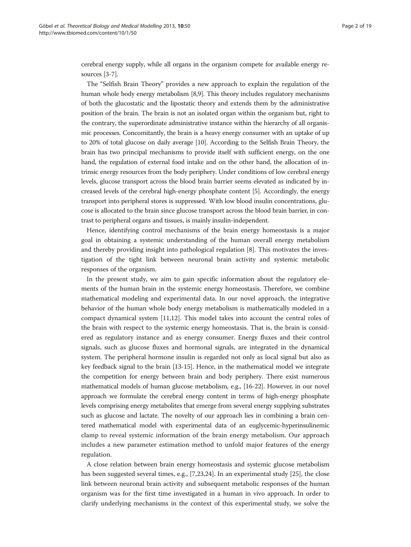cerebral energy supply, while all organs in the organism compete for available energy resources [\[3-7](#page-17-0)].

The "Selfish Brain Theory" provides a new approach to explain the regulation of the human whole body energy metabolism [[8,9\]](#page-17-0). This theory includes regulatory mechanisms of both the glucostatic and the lipostatic theory and extends them by the administrative position of the brain. The brain is not an isolated organ within the organism but, right to the contrary, the superordinate administrative instance within the hierarchy of all organismic processes. Concomitantly, the brain is a heavy energy consumer with an uptake of up to 20% of total glucose on daily average [\[10\]](#page-17-0). According to the Selfish Brain Theory, the brain has two principal mechanisms to provide itself with sufficient energy, on the one hand, the regulation of external food intake and on the other hand, the allocation of intrinsic energy resources from the body periphery. Under conditions of low cerebral energy levels, glucose transport across the blood brain barrier seems elevated as indicated by increased levels of the cerebral high-energy phosphate content [[5\]](#page-17-0). Accordingly, the energy transport into peripheral stores is suppressed. With low blood insulin concentrations, glucose is allocated to the brain since glucose transport across the blood brain barrier, in contrast to peripheral organs and tissues, is mainly insulin-independent.

Hence, identifying control mechanisms of the brain energy homeostasis is a major goal in obtaining a systemic understanding of the human overall energy metabolism and thereby providing insight into pathological regulation [[8\]](#page-17-0). This motivates the investigation of the tight link between neuronal brain activity and systemic metabolic responses of the organism.

In the present study, we aim to gain specific information about the regulatory elements of the human brain in the systemic energy homeostasis. Therefore, we combine mathematical modeling and experimental data. In our novel approach, the integrative behavior of the human whole body energy metabolism is mathematically modeled in a compact dynamical system [\[11,12\]](#page-17-0). This model takes into account the central roles of the brain with respect to the systemic energy homeostasis. That is, the brain is considered as regulatory instance and as energy consumer. Energy fluxes and their control signals, such as glucose fluxes and hormonal signals, are integrated in the dynamical system. The peripheral hormone insulin is regarded not only as local signal but also as key feedback signal to the brain [\[13-15](#page-17-0)]. Hence, in the mathematical model we integrate the competition for energy between brain and body periphery. There exist numerous mathematical models of human glucose metabolism, e.g., [\[16-22\]](#page-17-0). However, in our novel approach we formulate the cerebral energy content in terms of high-energy phosphate levels comprising energy metabolites that emerge from several energy supplying substrates such as glucose and lactate. The novelty of our approach lies in combining a brain centered mathematical model with experimental data of an euglycemic-hyperinsulinemic clamp to reveal systemic information of the brain energy metabolism. Our approach includes a new parameter estimation method to unfold major features of the energy regulation.

A close relation between brain energy homeostasis and systemic glucose metabolism has been suggested several times, e.g., [\[7,23,24](#page-17-0)]. In an experimental study [[25](#page-17-0)], the close link between neuronal brain activity and subsequent metabolic responses of the human organism was for the first time investigated in a human in vivo approach. In order to clarify underlying mechanisms in the context of this experimental study, we solve the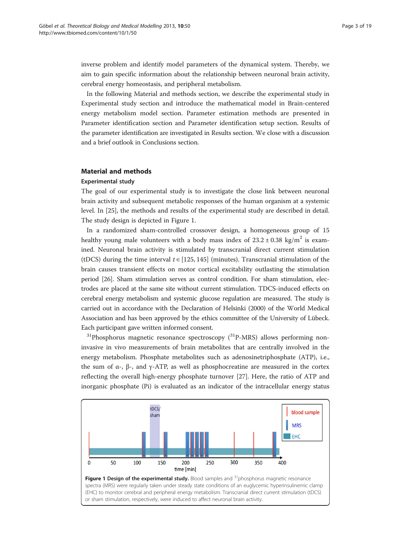<span id="page-2-0"></span>inverse problem and identify model parameters of the dynamical system. Thereby, we aim to gain specific information about the relationship between neuronal brain activity, cerebral energy homeostasis, and peripheral metabolism.

In the following Material and methods section, we describe the experimental study in Experimental study section and introduce the mathematical model in [Brain-centered](#page-4-0) [energy metabolism model](#page-4-0) section. Parameter estimation methods are presented in [Parameter identification](#page-6-0) section and [Parameter identification setup](#page-8-0) section. Results of the parameter identification are investigated in [Results](#page-15-0) section. We close with a discussion and a brief outlook in [Conclusions](#page-15-0) section.

# Material and methods

# Experimental study

The goal of our experimental study is to investigate the close link between neuronal brain activity and subsequent metabolic responses of the human organism at a systemic level. In [\[25](#page-17-0)], the methods and results of the experimental study are described in detail. The study design is depicted in Figure 1.

In a randomized sham-controlled crossover design, a homogeneous group of 15 healthy young male volunteers with a body mass index of  $23.2 \pm 0.38$  kg/m<sup>2</sup> is examined. Neuronal brain activity is stimulated by transcranial direct current stimulation (tDCS) during the time interval  $t \in [125, 145]$  (minutes). Transcranial stimulation of the brain causes transient effects on motor cortical excitability outlasting the stimulation period [[26](#page-17-0)]. Sham stimulation serves as control condition. For sham stimulation, electrodes are placed at the same site without current stimulation. TDCS-induced effects on cerebral energy metabolism and systemic glucose regulation are measured. The study is carried out in accordance with the Declaration of Helsinki (2000) of the World Medical Association and has been approved by the ethics committee of the University of Lübeck. Each participant gave written informed consent.

 $31$ Phosphorus magnetic resonance spectroscopy  $(31)$ P-MRS) allows performing noninvasive in vivo measurements of brain metabolites that are centrally involved in the energy metabolism. Phosphate metabolites such as adenosinetriphosphate (ATP), i.e., the sum of  $\alpha$ -,  $\beta$ -, and γ-ATP, as well as phosphocreatine are measured in the cortex reflecting the overall high-energy phosphate turnover [[27\]](#page-17-0). Here, the ratio of ATP and inorganic phosphate (Pi) is evaluated as an indicator of the intracellular energy status

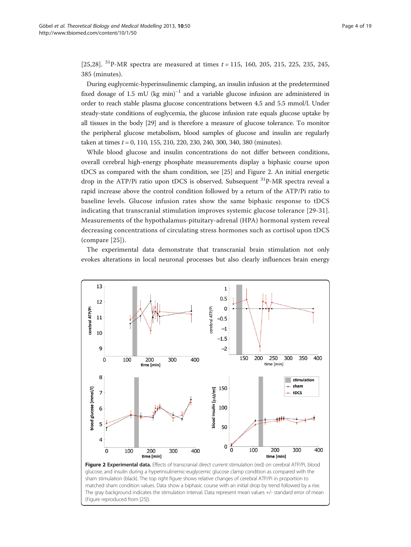<span id="page-3-0"></span>[[25,](#page-17-0)[28](#page-18-0)].  $^{31}$ P-MR spectra are measured at times  $t = 115$ , 160, 205, 215, 225, 235, 245, 385 (minutes).

During euglycemic-hyperinsulinemic clamping, an insulin infusion at the predetermined fixed dosage of 1.5 mU (kg min)<sup>-1</sup> and a variable glucose infusion are administered in order to reach stable plasma glucose concentrations between 4.5 and 5.5 mmol/l. Under steady-state conditions of euglycemia, the glucose infusion rate equals glucose uptake by all tissues in the body [[29](#page-18-0)] and is therefore a measure of glucose tolerance. To monitor the peripheral glucose metabolism, blood samples of glucose and insulin are regularly taken at times  $t = 0$ , 110, 155, 210, 220, 230, 240, 300, 340, 380 (minutes).

While blood glucose and insulin concentrations do not differ between conditions, overall cerebral high-energy phosphate measurements display a biphasic course upon tDCS as compared with the sham condition, see [\[25](#page-17-0)] and Figure 2. An initial energetic drop in the ATP/Pi ratio upon tDCS is observed. Subsequent  $^{31}$ P-MR spectra reveal a rapid increase above the control condition followed by a return of the ATP/Pi ratio to baseline levels. Glucose infusion rates show the same biphasic response to tDCS indicating that transcranial stimulation improves systemic glucose tolerance [[29](#page-18-0)-[31](#page-18-0)]. Measurements of the hypothalamus-pituitary-adrenal (HPA) hormonal system reveal decreasing concentrations of circulating stress hormones such as cortisol upon tDCS (compare [[25\]](#page-17-0)).

The experimental data demonstrate that transcranial brain stimulation not only evokes alterations in local neuronal processes but also clearly influences brain energy



glucose, and insulin during a hyperinsulinemic-euglycemic glucose clamp condition as compared with the sham stimulation (black). The top right figure shows relative changes of cerebral ATP/Pi in proportion to matched sham condition values. Data show a biphasic course with an initial drop by trend followed by a rise. The gray background indicates the stimulation interval. Data represent mean values +/- standard error of mean (Figure reproduced from [\[25\]](#page-17-0)).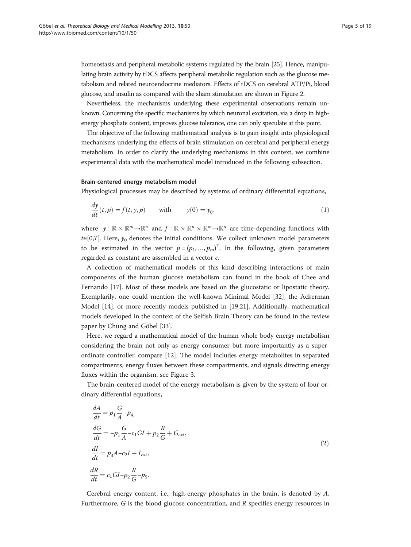<span id="page-4-0"></span>homeostasis and peripheral metabolic systems regulated by the brain [\[25\]](#page-17-0). Hence, manipulating brain activity by tDCS affects peripheral metabolic regulation such as the glucose metabolism and related neuroendocrine mediators. Effects of tDCS on cerebral ATP/Pi, blood glucose, and insulin as compared with the sham stimulation are shown in Figure [2.](#page-3-0)

Nevertheless, the mechanisms underlying these experimental observations remain unknown. Concerning the specific mechanisms by which neuronal excitation, via a drop in highenergy phosphate content, improves glucose tolerance, one can only speculate at this point.

The objective of the following mathematical analysis is to gain insight into physiological mechanisms underlying the effects of brain stimulation on cerebral and peripheral energy metabolism. In order to clarify the underlying mechanisms in this context, we combine experimental data with the mathematical model introduced in the following subsection.

# Brain-centered energy metabolism model

Physiological processes may be described by systems of ordinary differential equations,

$$
\frac{dy}{dt}(t,p) = f(t,y,p) \quad \text{with} \quad y(0) = y_0,
$$
\n(1)

where  $y: \mathbb{R} \times \mathbb{R}^m \to \mathbb{R}^n$  and  $f: \mathbb{R} \times \mathbb{R}^n \times \mathbb{R}^m \to \mathbb{R}^n$  are time-depending functions with  $t \in [0,T]$ . Here,  $y_0$  denotes the initial conditions. We collect unknown model parameters to be estimated in the vector  $p = (p_1, ..., p_m)^\top$ . In the following, given parameters regarded as constant are assembled in a vector c.

A collection of mathematical models of this kind describing interactions of main components of the human glucose metabolism can found in the book of Chee and Fernando [\[17](#page-17-0)]. Most of these models are based on the glucostatic or lipostatic theory. Exemplarily, one could mention the well-known Minimal Model [[32\]](#page-18-0), the Ackerman Model [\[14\]](#page-17-0), or more recently models published in [[19,21](#page-17-0)]. Additionally, mathematical models developed in the context of the Selfish Brain Theory can be found in the review paper by Chung and Göbel [[33\]](#page-18-0).

Here, we regard a mathematical model of the human whole body energy metabolism considering the brain not only as energy consumer but more importantly as a superordinate controller, compare [\[12](#page-17-0)]. The model includes energy metabolites in separated compartments, energy fluxes between these compartments, and signals directing energy fluxes within the organism, see Figure [3.](#page-5-0)

The brain-centered model of the energy metabolism is given by the system of four ordinary differential equations,

$$
\frac{dA}{dt} = p_1 \frac{G}{A} - p_4,
$$
\n
$$
\frac{dG}{dt} = -p_1 \frac{G}{A} - c_1 GI + p_2 \frac{R}{G} + G_{ext},
$$
\n
$$
\frac{dI}{dt} = p_3 A - c_2 I + I_{ext},
$$
\n
$$
\frac{dR}{dt} = c_1 GI - p_2 \frac{R}{G} - p_5.
$$
\n(2)

Cerebral energy content, i.e., high-energy phosphates in the brain, is denoted by A. Furthermore,  $G$  is the blood glucose concentration, and  $R$  specifies energy resources in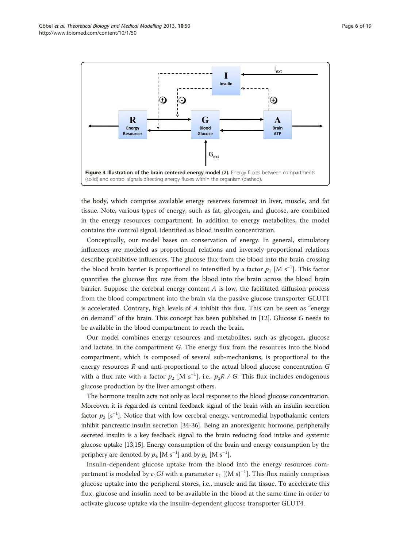<span id="page-5-0"></span>

the body, which comprise available energy reserves foremost in liver, muscle, and fat tissue. Note, various types of energy, such as fat, glycogen, and glucose, are combined in the energy resources compartment. In addition to energy metabolites, the model contains the control signal, identified as blood insulin concentration.

Conceptually, our model bases on conservation of energy. In general, stimulatory influences are modeled as proportional relations and inversely proportional relations describe prohibitive influences. The glucose flux from the blood into the brain crossing the blood brain barrier is proportional to intensified by a factor  $p_1$  [M s<sup>−1</sup>]. This factor quantifies the glucose flux rate from the blood into the brain across the blood brain barrier. Suppose the cerebral energy content  $A$  is low, the facilitated diffusion process from the blood compartment into the brain via the passive glucose transporter GLUT1 is accelerated. Contrary, high levels of  $A$  inhibit this flux. This can be seen as "energy on demand" of the brain. This concept has been published in [\[12\]](#page-17-0). Glucose G needs to be available in the blood compartment to reach the brain.

Our model combines energy resources and metabolites, such as glycogen, glucose and lactate, in the compartment G. The energy flux from the resources into the blood compartment, which is composed of several sub-mechanisms, is proportional to the energy resources R and anti-proportional to the actual blood glucose concentration G with a flux rate with a factor  $p_2$  [M s<sup>−1</sup>], i.e.,  $p_2R\,$  / G. This flux includes endogenous glucose production by the liver amongst others.

The hormone insulin acts not only as local response to the blood glucose concentration. Moreover, it is regarded as central feedback signal of the brain with an insulin secretion factor  $p_3$  [s<sup>-1</sup>]. Notice that with low cerebral energy, ventromedial hypothalamic centers inhibit pancreatic insulin secretion [\[34-36](#page-18-0)]. Being an anorexigenic hormone, peripherally secreted insulin is a key feedback signal to the brain reducing food intake and systemic glucose uptake [\[13,15\]](#page-17-0). Energy consumption of the brain and energy consumption by the periphery are denoted by  $p_4$  [M s<sup>-1</sup>] and by  $p_5$  [M s<sup>-1</sup>].

Insulin-dependent glucose uptake from the blood into the energy resources compartment is modeled by  $c_1G\!I$  with a parameter  $c_1$  [(M s) $^{-1}$ ]. This flux mainly comprises glucose uptake into the peripheral stores, i.e., muscle and fat tissue. To accelerate this flux, glucose and insulin need to be available in the blood at the same time in order to activate glucose uptake via the insulin-dependent glucose transporter GLUT4.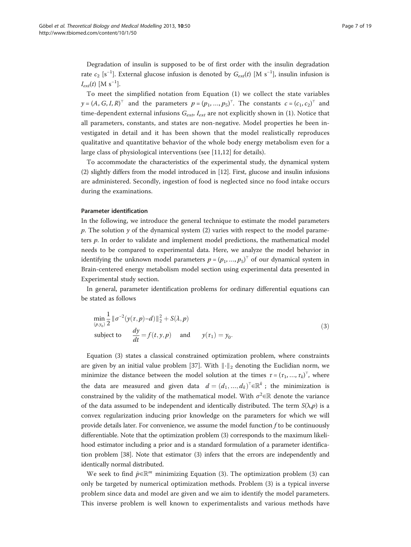<span id="page-6-0"></span>Degradation of insulin is supposed to be of first order with the insulin degradation rate  $c_2$  [s<sup>-1</sup>]. External glucose infusion is denoted by  $G_{ext}(t)$  [M s<sup>-1</sup>], insulin infusion is  $I_{ext}(t)$  [M s<sup>-1</sup>].

To meet the simplified notation from Equation [\(1\)](#page-4-0) we collect the state variables  $y = (A, G, I, R)^{\top}$  and the parameters  $p = (p_1, ..., p_5)^{\top}$ . The constants  $c = (c_1, c_2)^{\top}$  and time-dependent external infusions  $G_{ext}$ ,  $I_{ext}$  are not explicitly shown in (1). Notice that all parameters, constants, and states are non-negative. Model properties he been investigated in detail and it has been shown that the model realistically reproduces qualitative and quantitative behavior of the whole body energy metabolism even for a large class of physiological interventions (see [\[11,12](#page-17-0)] for details).

To accommodate the characteristics of the experimental study, the dynamical system (2) slightly differs from the model introduced in [\[12\]](#page-17-0). First, glucose and insulin infusions are administered. Secondly, ingestion of food is neglected since no food intake occurs during the examinations.

# Parameter identification

In the following, we introduce the general technique to estimate the model parameters p. The solution y of the dynamical system (2) varies with respect to the model parameters  $p$ . In order to validate and implement model predictions, the mathematical model needs to be compared to experimental data. Here, we analyze the model behavior in identifying the unknown model parameters  $p = (p_1, ..., p_5)^T$  of our dynamical system in [Brain-centered energy metabolism model](#page-4-0) section using experimental data presented in [Experimental study](#page-2-0) section.

In general, parameter identification problems for ordinary differential equations can be stated as follows

$$
\min_{(p,y_0)} \frac{1}{2} \|\sigma^{-2}(y(\tau,p)-d)\|_2^2 + S(\lambda,p)
$$
  
subject to 
$$
\frac{dy}{dt} = f(t,y,p) \quad \text{and} \quad y(\tau_1) = y_0.
$$
 (3)

Equation (3) states a classical constrained optimization problem, where constraints are given by an initial value problem [\[37](#page-18-0)]. With  $\|\cdot\|_2$  denoting the Euclidian norm, we minimize the distance between the model solution at the times  $\tau = (\tau_1, ..., \tau_k)^\top$ , where the data are measured and given data  $d = (d_1, ..., d_k)^{T} \in \mathbb{R}^k$ ; the minimization is constrained by the validity of the mathematical model. With  $\sigma^2 \in \mathbb{R}$  denote the variance of the data assumed to be independent and identically distributed. The term  $S(\lambda, p)$  is a convex regularization inducing prior knowledge on the parameters for which we will provide details later. For convenience, we assume the model function f to be continuously differentiable. Note that the optimization problem (3) corresponds to the maximum likelihood estimator including a prior and is a standard formulation of a parameter identification problem [\[38\]](#page-18-0). Note that estimator (3) infers that the errors are independently and identically normal distributed.

We seek to find  $\hat{p} \in \mathbb{R}^m$  minimizing Equation (3). The optimization problem (3) can only be targeted by numerical optimization methods. Problem (3) is a typical inverse problem since data and model are given and we aim to identify the model parameters. This inverse problem is well known to experimentalists and various methods have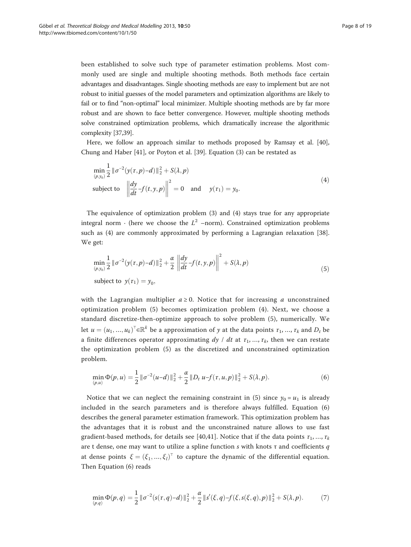<span id="page-7-0"></span>been established to solve such type of parameter estimation problems. Most commonly used are single and multiple shooting methods. Both methods face certain advantages and disadvantages. Single shooting methods are easy to implement but are not robust to initial guesses of the model parameters and optimization algorithms are likely to fail or to find "non-optimal" local minimizer. Multiple shooting methods are by far more robust and are shown to face better convergence. However, multiple shooting methods solve constrained optimization problems, which dramatically increase the algorithmic complexity [\[37,39](#page-18-0)].

Here, we follow an approach similar to methods proposed by Ramsay et al. [[40](#page-18-0)], Chung and Haber [\[41](#page-18-0)], or Poyton et al. [\[39](#page-18-0)]. Equation [\(3](#page-6-0)) can be restated as

$$
\min_{(p,y_0)} \frac{1}{2} \|\sigma^{-2}(y(\tau,p)-d)\|_2^2 + S(\lambda,p) \n\text{subject to } \left\| \frac{dy}{dt} - f(t,y,p) \right\|^2 = 0 \text{ and } y(\tau_1) = y_0.
$$
\n(4)

The equivalence of optimization problem (3) and (4) stays true for any appropriate integral norm ⋅ (here we choose the  $L^2$  –norm). Constrained optimization problems such as (4) are commonly approximated by performing a Lagrangian relaxation [[38](#page-18-0)]. We get:

$$
\min_{(p,y_0)} \frac{1}{2} \|\sigma^{-2}(y(\tau,p)-d)\|_2^2 + \frac{\alpha}{2} \left\| \frac{dy}{dt} - f(t,y,p) \right\|^2 + S(\lambda, p) \n\text{subject to } y(\tau_1) = y_0,
$$
\n(5)

with the Lagrangian multiplier  $a \ge 0$ . Notice that for increasing a unconstrained optimization problem (5) becomes optimization problem (4). Next, we choose a standard discretize-then-optimize approach to solve problem (5), numerically. We let  $u = (u_1, ..., u_k)^\top \in \mathbb{R}^k$  be a approximation of y at the data points  $\tau_1, ..., \tau_k$  and  $D_t$  be a finite differences operator approximating  $dy / dt$  at  $\tau_1, ..., \tau_k$ , then we can restate the optimization problem (5) as the discretized and unconstrained optimization problem.

$$
\min_{(p,u)} \Phi(p,u) = \frac{1}{2} \|\sigma^{-2}(u-d)\|_2^2 + \frac{\alpha}{2} \|D_t u - f(\tau, u, p)\|_2^2 + S(\lambda, p). \tag{6}
$$

Notice that we can neglect the remaining constraint in (5) since  $y_0 = u_1$  is already included in the search parameters and is therefore always fulfilled. Equation (6) describes the general parameter estimation framework. This optimization problem has the advantages that it is robust and the unconstrained nature allows to use fast gradient-based methods, for details see [[40,41](#page-18-0)]. Notice that if the data points  $\tau_1, ..., \tau_k$ are t dense, one may want to utilize a spline function  $s$  with knots  $\tau$  and coefficients  $q$ at dense points  $\xi = (\xi_1, ..., \xi_l)^\top$  to capture the dynamic of the differential equation. Then Equation (6) reads

$$
\min_{(p,q)} \Phi(p,q) = \frac{1}{2} \|\sigma^{-2}(s(\tau,q)-d)\|_2^2 + \frac{\alpha}{2} \|s'(\xi,q)-f(\xi,s(\xi,q),p)\|_2^2 + S(\lambda,p). \tag{7}
$$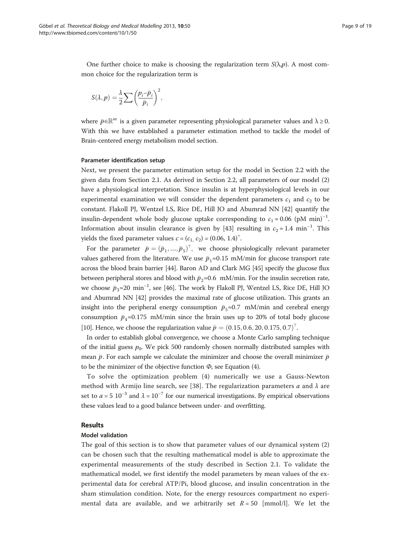<span id="page-8-0"></span>One further choice to make is choosing the regularization term  $S(\lambda, p)$ . A most common choice for the regularization term is

$$
S(\lambda, p) = \frac{\lambda}{2} \sum \left( \frac{p_i - \bar{p}_i}{\bar{p}_i} \right)^2,
$$

where  $\bar{p} \in \mathbb{R}^m$  is a given parameter representing physiological parameter values and  $\lambda \geq 0$ . With this we have established a parameter estimation method to tackle the model of [Brain-centered energy metabolism model](#page-4-0) section.

#### Parameter identification setup

Next, we present the parameter estimation setup for the model in Section 2.2 with the given data from Section 2.1. As derived in Section 2.2, all parameters of our model (2) have a physiological interpretation. Since insulin is at hyperphysiological levels in our experimental examination we will consider the dependent parameters  $c_1$  and  $c_2$  to be constant. Flakoll PJ, Wentzel LS, Rice DE, Hill JO and Abumrad NN [[42](#page-18-0)] quantify the insulin-dependent whole body glucose uptake corresponding to  $c_1 \approx 0.06$  (pM min)<sup>-1</sup>. Information about insulin clearance is given by [\[43\]](#page-18-0) resulting in  $c_2 \approx 1.4 \text{ min}^{-1}$ . This yields the fixed parameter values  $c = (c_1, c_2) = (0.06, 1.4)^{\top}$ .

For the parameter  $\bar{p} = (\bar{p}_1, ..., \bar{p}_5)^T$ , we choose physiologically relevant parameter values gathered from the literature. We use  $\bar{p}_1 \approx 0.15$  mM/min for glucose transport rate across the blood brain barrier [[44](#page-18-0)]. Baron AD and Clark MG [[45](#page-18-0)] specify the glucose flux between peripheral stores and blood with  $\bar{p}_2 \approx 0.6~$  mM/min. For the insulin secretion rate, we choose  $\bar{p}_3 \approx 20 \text{ min}^{-1}$ , see [\[46](#page-18-0)]. The work by Flakoll PJ, Wentzel LS, Rice DE, Hill JO and Abumrad NN [[42](#page-18-0)] provides the maximal rate of glucose utilization. This grants an insight into the peripheral energy consumption  $\bar{p}_5 \approx 0.7$  mM/min and cerebral energy consumption  $\bar{p}_4 \approx 0.175$  mM/min since the brain uses up to 20% of total body glucose [[10](#page-17-0)]. Hence, we choose the regularization value  $\bar{p}=(0.15,0.6,20,0.175,0.7)^{\top}$ .

In order to establish global convergence, we choose a Monte Carlo sampling technique of the initial guess  $p_0$ . We pick 500 randomly chosen normally distributed samples with mean  $\bar{p}$ . For each sample we calculate the minimizer and choose the overall minimizer  $\bar{p}$ to be the minimizer of the objective function  $\Phi$ , see Equation ([4](#page-7-0)).

To solve the optimization problem (4) numerically we use a Gauss-Newton method with Armijo line search, see [[38\]](#page-18-0). The regularization parameters a and  $\lambda$  are set to  $a = 5 \times 10^{-3}$  and  $\lambda = 10^{-7}$  for our numerical investigations. By empirical observations these values lead to a good balance between under- and overfitting.

# Results

#### Model validation

The goal of this section is to show that parameter values of our dynamical system (2) can be chosen such that the resulting mathematical model is able to approximate the experimental measurements of the study described in Section 2.1. To validate the mathematical model, we first identify the model parameters by mean values of the experimental data for cerebral ATP/Pi, blood glucose, and insulin concentration in the sham stimulation condition. Note, for the energy resources compartment no experimental data are available, and we arbitrarily set  $R = 50$  [mmol/l]. We let the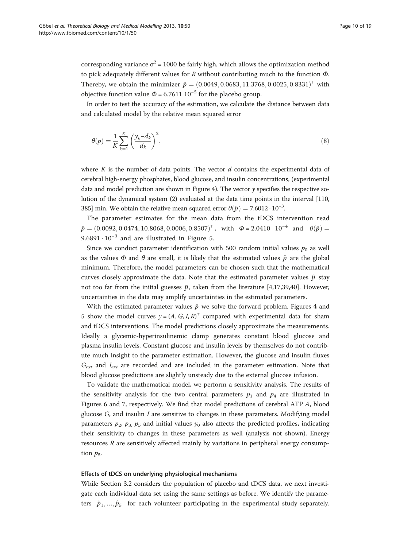<span id="page-9-0"></span>corresponding variance  $\sigma^2$  = 1000 be fairly high, which allows the optimization method to pick adequately different values for  $R$  without contributing much to the function  $\Phi$ . Thereby, we obtain the minimizer  $\hat{p} = (0.0049, 0.0683, 11.3768, 0.0025, 0.8331)$ <sup>™</sup> with objective function value  $\Phi$  = 6.7611 10<sup>-5</sup> for the placebo group.

In order to test the accuracy of the estimation, we calculate the distance between data and calculated model by the relative mean squared error

$$
\theta(p) = \frac{1}{K} \sum_{k=1}^{K} \left( \frac{y_k - d_k}{d_k} \right)^2,\tag{8}
$$

where K is the number of data points. The vector  $d$  contains the experimental data of cerebral high-energy phosphates, blood glucose, and insulin concentrations, (experimental data and model prediction are shown in Figure [4\)](#page-10-0). The vector  $\gamma$  specifies the respective solution of the dynamical system (2) evaluated at the data time points in the interval [110, 385] min. We obtain the relative mean squared error  $\theta(\hat{p}) = 7.6012 \cdot 10^{-3}$ .

The parameter estimates for the mean data from the tDCS intervention read  $\hat{p} = (0.0092, 0.0474, 10.8068, 0.0006, 0.8507)$ <sup>T</sup>, with  $\Phi = 2.0410 \cdot 10^{-4}$  and  $\theta(\hat{p}) =$ 9.6891  $\cdot$  10<sup>-3</sup> and are illustrated in Figure [5.](#page-11-0)

Since we conduct parameter identification with 500 random initial values  $p_0$  as well as the values  $\Phi$  and  $\theta$  are small, it is likely that the estimated values  $\hat{p}$  are the global minimum. Therefore, the model parameters can be chosen such that the mathematical curves closely approximate the data. Note that the estimated parameter values  $\hat{p}$  stay not too far from the initial guesses  $\bar{p}$ , taken from the literature [[4,17,](#page-17-0)[39,40\]](#page-18-0). However, uncertainties in the data may amplify uncertainties in the estimated parameters.

With the estimated parameter values  $\hat{p}$  we solve the forward problem. Figures [4](#page-10-0) and [5](#page-11-0) show the model curves  $y = (A, G, I, R)^T$  compared with experimental data for sham and tDCS interventions. The model predictions closely approximate the measurements. Ideally a glycemic-hyperinsulinemic clamp generates constant blood glucose and plasma insulin levels. Constant glucose and insulin levels by themselves do not contribute much insight to the parameter estimation. However, the glucose and insulin fluxes  $G_{ext}$  and  $I_{ext}$  are recorded and are included in the parameter estimation. Note that blood glucose predictions are slightly unsteady due to the external glucose infusion.

To validate the mathematical model, we perform a sensitivity analysis. The results of the sensitivity analysis for the two central parameters  $p_1$  and  $p_4$  are illustrated in Figures [6](#page-12-0) and [7,](#page-13-0) respectively. We find that model predictions of cerebral ATP A, blood glucose  $G$ , and insulin  $I$  are sensitive to changes in these parameters. Modifying model parameters  $p_2$ ,  $p_3$ ,  $p_5$  and initial values  $y_0$  also affects the predicted profiles, indicating their sensitivity to changes in these parameters as well (analysis not shown). Energy resources  $R$  are sensitively affected mainly by variations in peripheral energy consumption  $p_5$ .

#### Effects of tDCS on underlying physiological mechanisms

While Section 3.2 considers the population of placebo and tDCS data, we next investigate each individual data set using the same settings as before. We identify the parameters  $\hat{p}_1, ..., \hat{p}_5$  for each volunteer participating in the experimental study separately.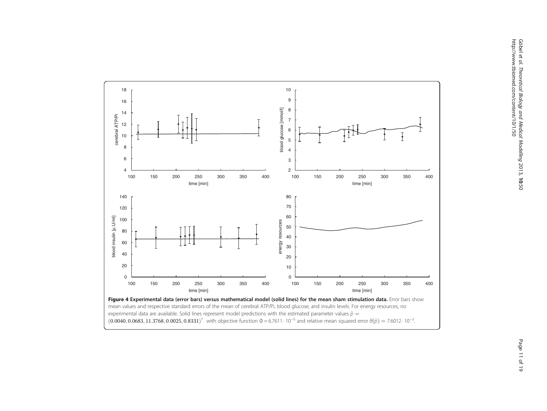<span id="page-10-0"></span>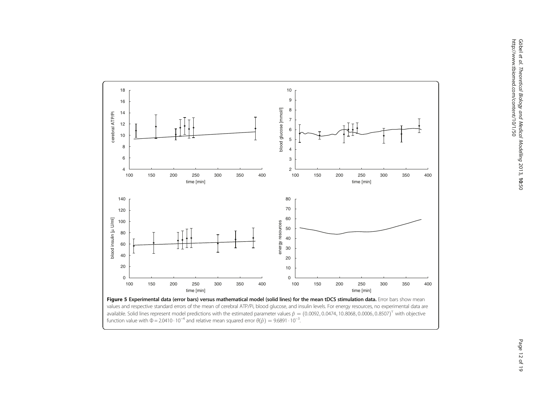<span id="page-11-0"></span>

values and respective standard errors of the mean of cerebral ATP/Pi, blood glucose, and insulin levels. For energy resources, no experimental data are available. Solid lines represent model predictions with the estimated parameter values  $\hat{p} = (0.0092, 0.0474, 10.8068, 0.0006, 0.8507)^T$  with objective function value with  $\Phi = 2.0410 \cdot 10^{-4}$  and relative mean squared error  $\theta(\hat{p}) = 9.6891 \cdot 10^{-3}$ . .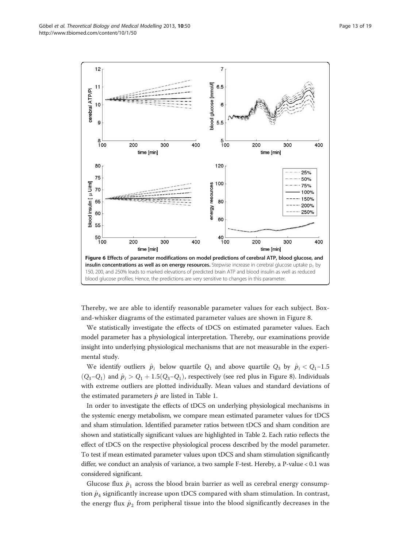<span id="page-12-0"></span>

Thereby, we are able to identify reasonable parameter values for each subject. Boxand-whisker diagrams of the estimated parameter values are shown in Figure [8.](#page-14-0)

We statistically investigate the effects of tDCS on estimated parameter values. Each model parameter has a physiological interpretation. Thereby, our examinations provide insight into underlying physiological mechanisms that are not measurable in the experimental study.

We identify outliers  $\hat{p}_i$  below quartile  $Q_1$  and above quartile  $Q_3$  by  $\hat{p}_i < Q_1-1.5$  $(Q_3-Q_1)$  and  $\hat{p}_i > Q_1 + 1.5 (Q_3-Q_1)$ , respectively (see red plus in Figure [8](#page-14-0)). Individuals with extreme outliers are plotted individually. Mean values and standard deviations of the estimated parameters  $\hat{p}$  are listed in Table [1](#page-15-0).

In order to investigate the effects of tDCS on underlying physiological mechanisms in the systemic energy metabolism, we compare mean estimated parameter values for tDCS and sham stimulation. Identified parameter ratios between tDCS and sham condition are shown and statistically significant values are highlighted in Table [2.](#page-15-0) Each ratio reflects the effect of tDCS on the respective physiological process described by the model parameter. To test if mean estimated parameter values upon tDCS and sham stimulation significantly differ, we conduct an analysis of variance, a two sample F-test. Hereby, a P-value < 0.1 was considered significant.

Glucose flux  $\hat{p}_1$  across the blood brain barrier as well as cerebral energy consumption  $\hat{p}_4$  significantly increase upon tDCS compared with sham stimulation. In contrast, the energy flux  $\hat{p}_2$  from peripheral tissue into the blood significantly decreases in the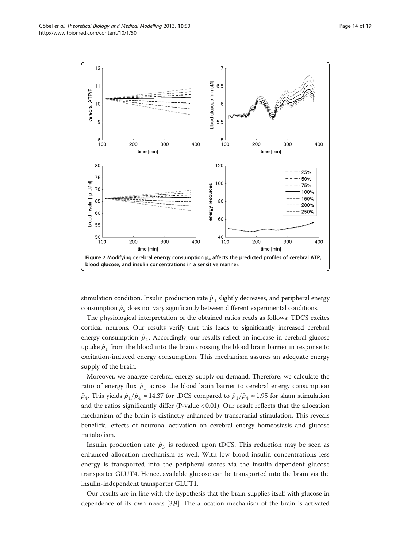<span id="page-13-0"></span>

stimulation condition. Insulin production rate  $\hat{p}_3$  slightly decreases, and peripheral energy consumption  $\hat{p}_5$  does not vary significantly between different experimental conditions.

The physiological interpretation of the obtained ratios reads as follows: TDCS excites cortical neurons. Our results verify that this leads to significantly increased cerebral energy consumption  $\hat{p}_4$ . Accordingly, our results reflect an increase in cerebral glucose uptake  $\hat{p}_1$  from the blood into the brain crossing the blood brain barrier in response to excitation-induced energy consumption. This mechanism assures an adequate energy supply of the brain.

Moreover, we analyze cerebral energy supply on demand. Therefore, we calculate the ratio of energy flux  $\hat{p}_1$  across the blood brain barrier to cerebral energy consumption  $\hat{p}_4$ . This yields  $\hat{p}_1/\hat{p}_4 \approx 14.37$  for tDCS compared to  $\hat{p}_1/\hat{p}_4 \approx 1.95$  for sham stimulation and the ratios significantly differ (P-value < 0.01). Our result reflects that the allocation mechanism of the brain is distinctly enhanced by transcranial stimulation. This reveals beneficial effects of neuronal activation on cerebral energy homeostasis and glucose metabolism.

Insulin production rate  $\hat{p}_3$  is reduced upon tDCS. This reduction may be seen as enhanced allocation mechanism as well. With low blood insulin concentrations less energy is transported into the peripheral stores via the insulin-dependent glucose transporter GLUT4. Hence, available glucose can be transported into the brain via the insulin-independent transporter GLUT1.

Our results are in line with the hypothesis that the brain supplies itself with glucose in dependence of its own needs [\[3,9](#page-17-0)]. The allocation mechanism of the brain is activated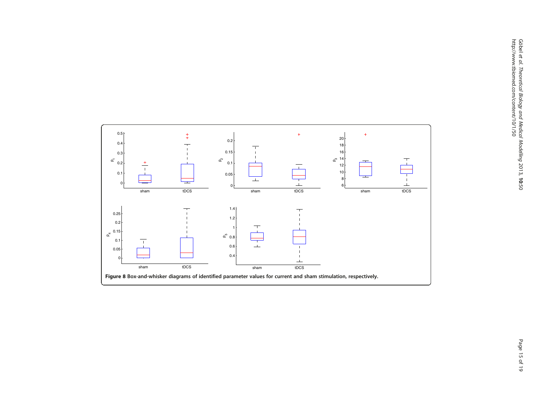<span id="page-14-0"></span>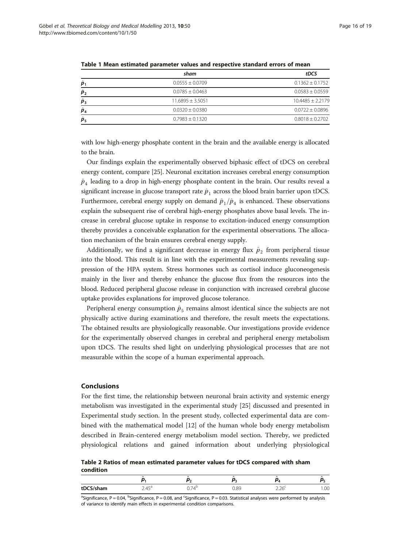|                            | sham                | tDCS                |  |
|----------------------------|---------------------|---------------------|--|
| $\hat{\boldsymbol{p}}_1$   | $0.0555 \pm 0.0709$ | $0.1362 \pm 0.1752$ |  |
| $\hat{\boldsymbol{p}}_2$   | $0.0785 \pm 0.0463$ | $0.0583 \pm 0.0559$ |  |
| $\hat{\boldsymbol{p}}_3$   | $11.6895 + 3.5051$  | $10.4485 + 2.2179$  |  |
| $\hat{\boldsymbol{p}}_4$   | $0.0320 \pm 0.0380$ | $0.0722 \pm 0.0896$ |  |
| $\hat{\boldsymbol{p}}_{5}$ | $0.7983 + 0.1320$   | $0.8018 + 0.2702$   |  |

<span id="page-15-0"></span>Table 1 Mean estimated parameter values and respective standard errors of mean

with low high-energy phosphate content in the brain and the available energy is allocated to the brain.

Our findings explain the experimentally observed biphasic effect of tDCS on cerebral energy content, compare [[25](#page-17-0)]. Neuronal excitation increases cerebral energy consumption  $\hat{p}_4$  leading to a drop in high-energy phosphate content in the brain. Our results reveal a significant increase in glucose transport rate  $\hat{p}_1$  across the blood brain barrier upon tDCS. Furthermore, cerebral energy supply on demand  $\hat{p}_1/\hat{p}_4$  is enhanced. These observations explain the subsequent rise of cerebral high-energy phosphates above basal levels. The increase in cerebral glucose uptake in response to excitation-induced energy consumption thereby provides a conceivable explanation for the experimental observations. The allocation mechanism of the brain ensures cerebral energy supply.

Additionally, we find a significant decrease in energy flux  $\hat{p}_2$  from peripheral tissue into the blood. This result is in line with the experimental measurements revealing suppression of the HPA system. Stress hormones such as cortisol induce gluconeogenesis mainly in the liver and thereby enhance the glucose flux from the resources into the blood. Reduced peripheral glucose release in conjunction with increased cerebral glucose uptake provides explanations for improved glucose tolerance.

Peripheral energy consumption  $\hat{p}_5$  remains almost identical since the subjects are not physically active during examinations and therefore, the result meets the expectations. The obtained results are physiologically reasonable. Our investigations provide evidence for the experimentally observed changes in cerebral and peripheral energy metabolism upon tDCS. The results shed light on underlying physiological processes that are not measurable within the scope of a human experimental approach.

# Conclusions

For the first time, the relationship between neuronal brain activity and systemic energy metabolism was investigated in the experimental study [\[25](#page-17-0)] discussed and presented in [Experimental study](#page-2-0) section. In the present study, collected experimental data are combined with the mathematical model [\[12](#page-17-0)] of the human whole body energy metabolism described in [Brain-centered energy metabolism model](#page-4-0) section. Thereby, we predicted physiological relations and gained information about underlying physiological

Table 2 Ratios of mean estimated parameter values for tDCS compared with sham condition

| tDCS/sham | ATA<br>$- \cdot -$ | n<br>◡., | $\Omega$ | $\sim$ $\sim$<br>$- - -$ |  |
|-----------|--------------------|----------|----------|--------------------------|--|

<sup>a</sup>Significance, P = 0.04, <sup>b</sup>Significance, P = 0.08, and <sup>c</sup>Significance, P = 0.03. Statistical analyses were performed by analysis of variance to identify main effects in experimental condition comparisons.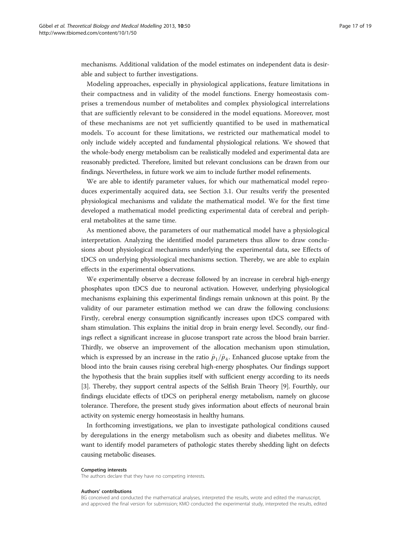mechanisms. Additional validation of the model estimates on independent data is desirable and subject to further investigations.

Modeling approaches, especially in physiological applications, feature limitations in their compactness and in validity of the model functions. Energy homeostasis comprises a tremendous number of metabolites and complex physiological interrelations that are sufficiently relevant to be considered in the model equations. Moreover, most of these mechanisms are not yet sufficiently quantified to be used in mathematical models. To account for these limitations, we restricted our mathematical model to only include widely accepted and fundamental physiological relations. We showed that the whole-body energy metabolism can be realistically modeled and experimental data are reasonably predicted. Therefore, limited but relevant conclusions can be drawn from our findings. Nevertheless, in future work we aim to include further model refinements.

We are able to identify parameter values, for which our mathematical model reproduces experimentally acquired data, see Section 3.1. Our results verify the presented physiological mechanisms and validate the mathematical model. We for the first time developed a mathematical model predicting experimental data of cerebral and peripheral metabolites at the same time.

As mentioned above, the parameters of our mathematical model have a physiological interpretation. Analyzing the identified model parameters thus allow to draw conclusions about physiological mechanisms underlying the experimental data, see [Effects of](#page-9-0) [tDCS on underlying physiological mechanisms](#page-9-0) section. Thereby, we are able to explain effects in the experimental observations.

We experimentally observe a decrease followed by an increase in cerebral high-energy phosphates upon tDCS due to neuronal activation. However, underlying physiological mechanisms explaining this experimental findings remain unknown at this point. By the validity of our parameter estimation method we can draw the following conclusions: Firstly, cerebral energy consumption significantly increases upon tDCS compared with sham stimulation. This explains the initial drop in brain energy level. Secondly, our findings reflect a significant increase in glucose transport rate across the blood brain barrier. Thirdly, we observe an improvement of the allocation mechanism upon stimulation, which is expressed by an increase in the ratio  $\hat{p}_1/\hat{p}_4$ . Enhanced glucose uptake from the blood into the brain causes rising cerebral high-energy phosphates. Our findings support the hypothesis that the brain supplies itself with sufficient energy according to its needs [[3\]](#page-17-0). Thereby, they support central aspects of the Selfish Brain Theory [\[9](#page-17-0)]. Fourthly, our findings elucidate effects of tDCS on peripheral energy metabolism, namely on glucose tolerance. Therefore, the present study gives information about effects of neuronal brain activity on systemic energy homeostasis in healthy humans.

In forthcoming investigations, we plan to investigate pathological conditions caused by deregulations in the energy metabolism such as obesity and diabetes mellitus. We want to identify model parameters of pathologic states thereby shedding light on defects causing metabolic diseases.

#### Competing interests

The authors declare that they have no competing interests.

#### Authors' contributions

BG conceived and conducted the mathematical analyses, interpreted the results, wrote and edited the manuscript, and approved the final version for submission; KMO conducted the experimental study, interpreted the results, edited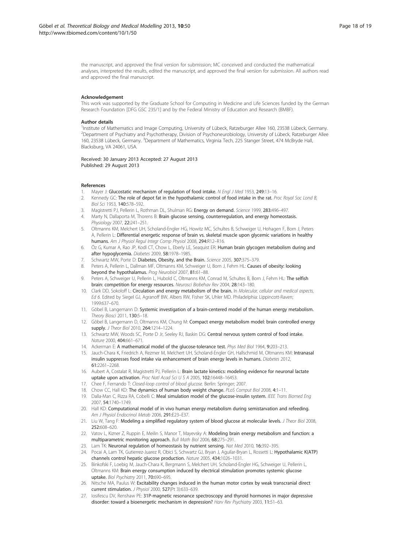<span id="page-17-0"></span>the manuscript, and approved the final version for submission; MC conceived and conducted the mathematical analyses, interpreted the results, edited the manuscript, and approved the final version for submission. All authors read and approved the final manuscript.

#### Acknowledgement

This work was supported by the Graduate School for Computing in Medicine and Life Sciences funded by the German Research Foundation [DFG GSC 235/1] and by the Federal Ministry of Education and Research (BMBF).

#### Author details

1 Institute of Mathematics and Image Computing, University of Lübeck, Ratzeburger Allee 160, 23538 Lübeck, Germany. 2 Department of Psychiatry and Psychotherapy, Division of Psychoneurobiology, University of Lübeck, Ratzeburger Allee 160, 23538 Lübeck, Germany. <sup>3</sup>Department of Mathematics, Virginia Tech, 225 Stanger Street, 474 McBryde Hall Blacksburg, VA 24061, USA.

Received: 30 January 2013 Accepted: 27 August 2013 Published: 29 August 2013

#### References

- 1. Mayer J: Glucostatic mechanism of regulation of food intake. N Engl J Med 1953, 249:13-16.
- 2. Kennedy GC: The role of depot fat in the hypothalamic control of food intake in the rat. Proc Royal Soc Lond B, Biol Sci 1953, 140:578–592.
- Magistretti PJ, Pellerin L, Rothman DL, Shulman RG: Energy on demand. Science 1999, 283:496-497.
- 4. Marty N, Dallaporta M, Thorens B: Brain glucose sensing, counterregulation, and energy homeostasis. Physiology 2007, 22:241–251.
- 5. Oltmanns KM, Melchert UH, Scholand-Engler HG, Howitz MC, Schultes B, Schweiger U, Hohagen F, Born J, Peters A, Pellerin L: Differential energetic response of brain vs. skeletal muscle upon glycemic variations in healthy humans. Am J Physiol Regul Integr Comp Physiol 2008, 294:R12–R16.
- 6. Öz G, Kumar A, Rao JP, Kodl CT, Chow L, Eberly LE, Seaquist ER: Human brain glycogen metabolism during and after hypoglycemia. Diabetes 2009, 58:1978–1985.
- 7. Schwartz MW, Porte D: Diabetes, Obesity, and the Brain. Science 2005, 307:375-379.
- 8. Peters A, Pellerin L, Dallman MF, Oltmanns KM, Schweiger U, Born J, Fehm HL: Causes of obesity: looking beyond the hypothalamus. Prog Neurobiol 2007, 81:61-88.
- 9. Peters A, Schweiger U, Pellerin L, Hubold C, Oltmanns KM, Conrad M, Schultes B, Born J, Fehm HL: The selfish brain: competition for energy resources. Neurosci Biobehav Rev 2004, 28:143–180.
- 10. Clark DD, Sokoloff L: Circulation and energy metabolism of the brain. In Molecular, cellular and medical aspects, Ed 6. Edited by Siegel GJ, Agranoff BW, Albers RW, Fisher SK, Uhler MD. Philadelphia: Lippincott-Raven; 1999:637–670.
- 11. Göbel B, Langemann D: Systemic investigation of a brain-centered model of the human energy metabolism. Theory Biosci 2011, 130:5–18.
- 12. Göbel B, Langemann D, Oltmanns KM, Chung M: Compact energy metabolism model: brain controlled energy supply. *J Theor Biol* 2010, 264:1214-1224.
- 13. Schwartz MW, Woods SC, Porte D Jr, Seeley RJ, Baskin DG: Central nervous system control of food intake. Nature 2000, 404:661–671.
- 14. Ackerman E: A mathematical model of the glucose-tolerance test. Phys Med Biol 1964, 9:203-213.
- 15. Jauch-Chara K, Friedrich A, Rezmer M, Melchert UH, Scholand-Engler GH, Hallschmid M, Oltmanns KM: Intranasal insulin suppresses food intake via enhancement of brain energy levels in humans. Diabetes 2012, 61:2261–2268.
- 16. Aubert A, Costalat R, Magistretti PJ, Pellerin L: Brain lactate kinetics: modeling evidence for neuronal lactate uptake upon activation. Proc Natl Acad Sci U S A 2005, 102:16448-16453.
- 17. Chee F, Fernando T: Closed-loop control of blood glucose. Berlin: Springer; 2007.
- 18. Chow CC, Hall KD: The dynamics of human body weight change. PLoS Comput Biol 2008, 4:1-11.
- 19. Dalla-Man C, Rizza RA, Cobelli C: Meal simulation model of the glucose-insulin system. IEEE Trans Biomed Eng 2007, 54:1740–1749.
- 20. Hall KD: Computational model of in vivo human energy metabolism during semistarvation and refeeding. Am J Physiol Endocrinol Metab 2006, 291:E23-E37.
- 21. Liu W, Tang F: Modeling a simplified regulatory system of blood glucose at molecular levels. J Theor Biol 2008, 252:608–620.
- 22. Vatov L, Kizner Z, Ruppin E, Meilin S, Manor T, Mayevsky A: Modeling brain energy metabolism and function: a multiparametric monitoring approach. Bull Math Biol 2006, 68:275–291.
- 23. Lam TK: Neuronal regulation of homeostasis by nutrient sensing. Nat Med 2010, 16:392-395.
- 24. Pocai A, Lam TK, Gutierrez-Juarez R, Obici S, Schwartz GJ, Bryan J, Aquilar-Bryan L, Rossetti L: Hypothalamic K(ATP) channels control hepatic glucose production. Nature 2005, 434:1026–1031.
- 25. Binkofski F, Loebig M, Jauch-Chara K, Bergmann S, Melchert UH, Scholand-Engler HG, Schweiger U, Pellerin L, Oltmanns KM: Brain energy consumption induced by electrical stimulation promotes systemic glucose uptake. Biol Psychiatry 2011, 70:690–695.
- 26. Nitsche MA, Paulus W: Excitability changes induced in the human motor cortex by weak transcranial direct current stimulation. J Physiol 2000, 527(Pt 3):633–639.
- 27. Iosifescu DV, Renshaw PE: 31P-magnetic resonance spectroscopy and thyroid hormones in major depressive disorder: toward a bioenergetic mechanism in depression? Harv Rev Psychiatry 2003, 11:51-63.